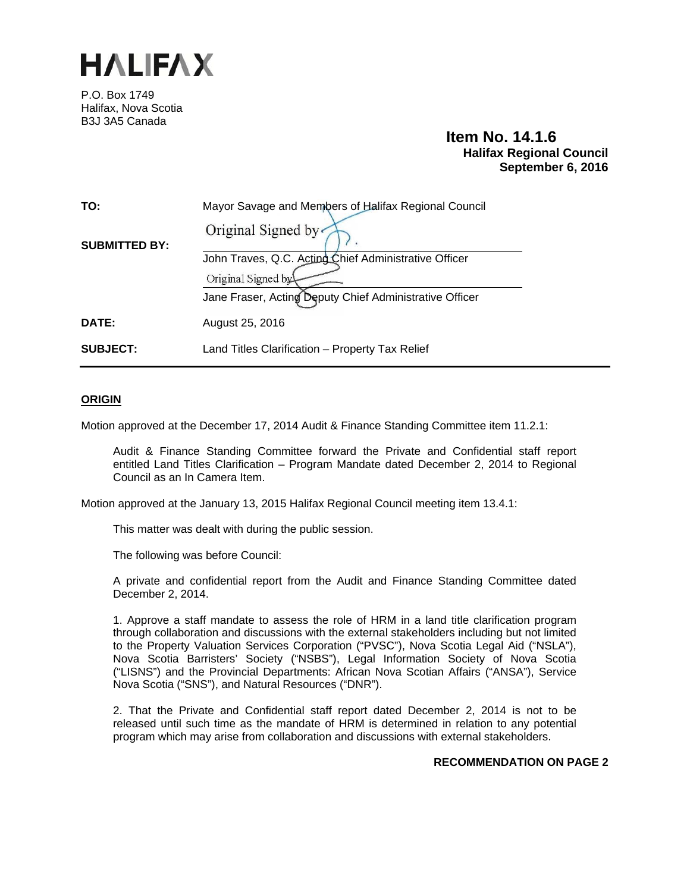

P.O. Box 1749 Halifax, Nova Scotia B3J 3A5 Canada

# **Item No. 14.1.6 Halifax Regional Council September 6, 2016**

| TO:                  | Mayor Savage and Members of Halifax Regional Council    |
|----------------------|---------------------------------------------------------|
| <b>SUBMITTED BY:</b> | Original Signed by                                      |
|                      | John Traves, Q.C. Acting Chief Administrative Officer   |
|                      | Original Signed by                                      |
|                      | Jane Fraser, Acting Deputy Chief Administrative Officer |
| DATE:                | August 25, 2016                                         |
| <b>SUBJECT:</b>      | Land Titles Clarification - Property Tax Relief         |

## **ORIGIN**

Motion approved at the December 17, 2014 Audit & Finance Standing Committee item 11.2.1:

Audit & Finance Standing Committee forward the Private and Confidential staff report entitled Land Titles Clarification – Program Mandate dated December 2, 2014 to Regional Council as an In Camera Item.

Motion approved at the January 13, 2015 Halifax Regional Council meeting item 13.4.1:

This matter was dealt with during the public session.

The following was before Council:

A private and confidential report from the Audit and Finance Standing Committee dated December 2, 2014.

1. Approve a staff mandate to assess the role of HRM in a land title clarification program through collaboration and discussions with the external stakeholders including but not limited to the Property Valuation Services Corporation ("PVSC"), Nova Scotia Legal Aid ("NSLA"), Nova Scotia Barristers' Society ("NSBS"), Legal Information Society of Nova Scotia ("LISNS") and the Provincial Departments: African Nova Scotian Affairs ("ANSA"), Service Nova Scotia ("SNS"), and Natural Resources ("DNR").

2. That the Private and Confidential staff report dated December 2, 2014 is not to be released until such time as the mandate of HRM is determined in relation to any potential program which may arise from collaboration and discussions with external stakeholders.

#### **RECOMMENDATION ON PAGE 2**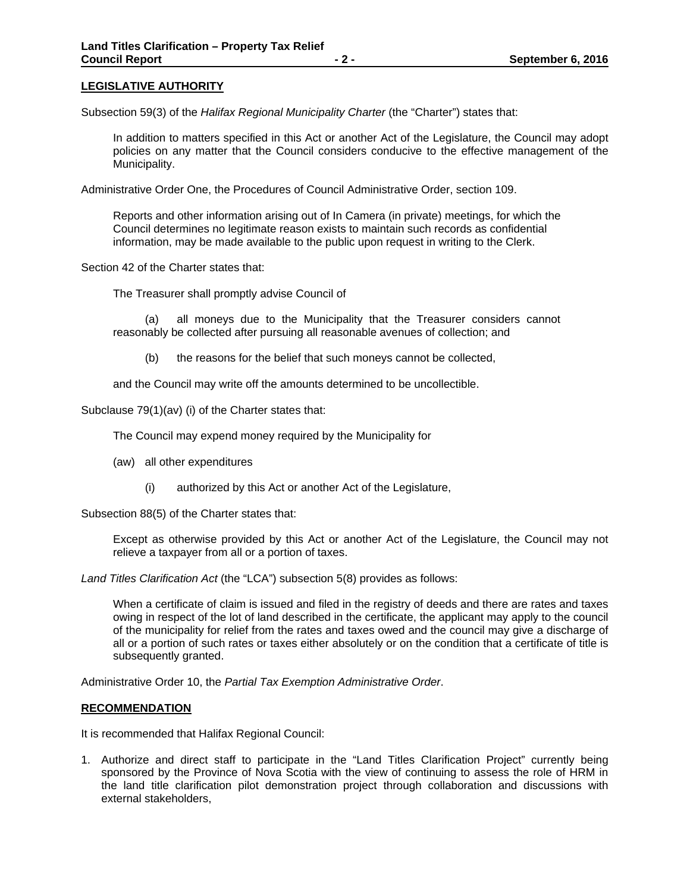## **LEGISLATIVE AUTHORITY**

Subsection 59(3) of the *Halifax Regional Municipality Charter* (the "Charter") states that:

In addition to matters specified in this Act or another Act of the Legislature, the Council may adopt policies on any matter that the Council considers conducive to the effective management of the Municipality.

Administrative Order One, the Procedures of Council Administrative Order, section 109.

Reports and other information arising out of In Camera (in private) meetings, for which the Council determines no legitimate reason exists to maintain such records as confidential information, may be made available to the public upon request in writing to the Clerk.

Section 42 of the Charter states that:

The Treasurer shall promptly advise Council of

(a) all moneys due to the Municipality that the Treasurer considers cannot reasonably be collected after pursuing all reasonable avenues of collection; and

(b) the reasons for the belief that such moneys cannot be collected,

and the Council may write off the amounts determined to be uncollectible.

Subclause 79(1)(av) (i) of the Charter states that:

The Council may expend money required by the Municipality for

- (aw) all other expenditures
	- (i) authorized by this Act or another Act of the Legislature,

Subsection 88(5) of the Charter states that:

Except as otherwise provided by this Act or another Act of the Legislature, the Council may not relieve a taxpayer from all or a portion of taxes.

*Land Titles Clarification Act* (the "LCA") subsection 5(8) provides as follows:

When a certificate of claim is issued and filed in the registry of deeds and there are rates and taxes owing in respect of the lot of land described in the certificate, the applicant may apply to the council of the municipality for relief from the rates and taxes owed and the council may give a discharge of all or a portion of such rates or taxes either absolutely or on the condition that a certificate of title is subsequently granted.

Administrative Order 10, the *Partial Tax Exemption Administrative Order*.

#### **RECOMMENDATION**

It is recommended that Halifax Regional Council:

1. Authorize and direct staff to participate in the "Land Titles Clarification Project" currently being sponsored by the Province of Nova Scotia with the view of continuing to assess the role of HRM in the land title clarification pilot demonstration project through collaboration and discussions with external stakeholders,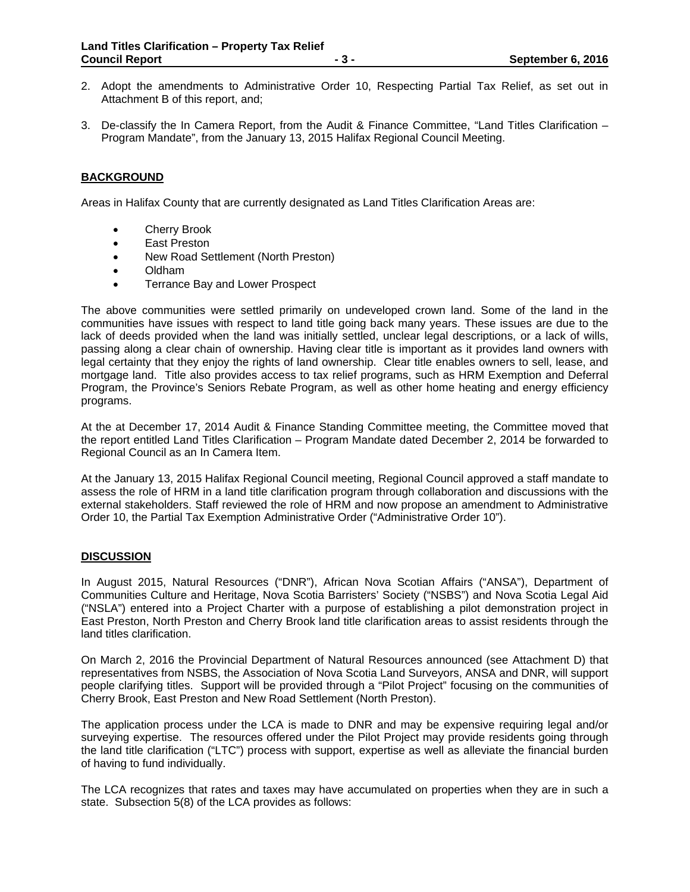- 2. Adopt the amendments to Administrative Order 10, Respecting Partial Tax Relief, as set out in Attachment B of this report, and;
- 3. De-classify the In Camera Report, from the Audit & Finance Committee, "Land Titles Clarification Program Mandate", from the January 13, 2015 Halifax Regional Council Meeting.

## **BACKGROUND**

Areas in Halifax County that are currently designated as Land Titles Clarification Areas are:

- **•** Cherry Brook
- East Preston
- New Road Settlement (North Preston)
- Oldham
- Terrance Bay and Lower Prospect

The above communities were settled primarily on undeveloped crown land. Some of the land in the communities have issues with respect to land title going back many years. These issues are due to the lack of deeds provided when the land was initially settled, unclear legal descriptions, or a lack of wills, passing along a clear chain of ownership. Having clear title is important as it provides land owners with legal certainty that they enjoy the rights of land ownership. Clear title enables owners to sell, lease, and mortgage land. Title also provides access to tax relief programs, such as HRM Exemption and Deferral Program, the Province's Seniors Rebate Program, as well as other home heating and energy efficiency programs.

At the at December 17, 2014 Audit & Finance Standing Committee meeting, the Committee moved that the report entitled Land Titles Clarification – Program Mandate dated December 2, 2014 be forwarded to Regional Council as an In Camera Item.

At the January 13, 2015 Halifax Regional Council meeting, Regional Council approved a staff mandate to assess the role of HRM in a land title clarification program through collaboration and discussions with the external stakeholders. Staff reviewed the role of HRM and now propose an amendment to Administrative Order 10, the Partial Tax Exemption Administrative Order ("Administrative Order 10").

#### **DISCUSSION**

In August 2015, Natural Resources ("DNR"), African Nova Scotian Affairs ("ANSA"), Department of Communities Culture and Heritage, Nova Scotia Barristers' Society ("NSBS") and Nova Scotia Legal Aid ("NSLA") entered into a Project Charter with a purpose of establishing a pilot demonstration project in East Preston, North Preston and Cherry Brook land title clarification areas to assist residents through the land titles clarification.

On March 2, 2016 the Provincial Department of Natural Resources announced (see Attachment D) that representatives from NSBS, the Association of Nova Scotia Land Surveyors, ANSA and DNR, will support people clarifying titles. Support will be provided through a "Pilot Project" focusing on the communities of Cherry Brook, East Preston and New Road Settlement (North Preston).

The application process under the LCA is made to DNR and may be expensive requiring legal and/or surveying expertise. The resources offered under the Pilot Project may provide residents going through the land title clarification ("LTC") process with support, expertise as well as alleviate the financial burden of having to fund individually.

The LCA recognizes that rates and taxes may have accumulated on properties when they are in such a state. Subsection 5(8) of the LCA provides as follows: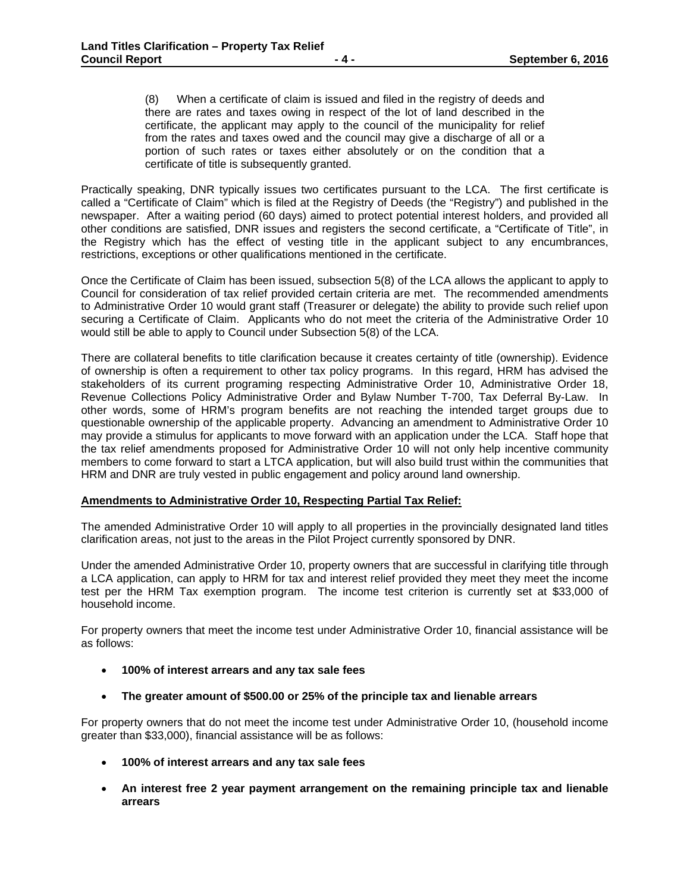(8) When a certificate of claim is issued and filed in the registry of deeds and there are rates and taxes owing in respect of the lot of land described in the certificate, the applicant may apply to the council of the municipality for relief from the rates and taxes owed and the council may give a discharge of all or a portion of such rates or taxes either absolutely or on the condition that a certificate of title is subsequently granted.

Practically speaking, DNR typically issues two certificates pursuant to the LCA. The first certificate is called a "Certificate of Claim" which is filed at the Registry of Deeds (the "Registry") and published in the newspaper. After a waiting period (60 days) aimed to protect potential interest holders, and provided all other conditions are satisfied, DNR issues and registers the second certificate, a "Certificate of Title", in the Registry which has the effect of vesting title in the applicant subject to any encumbrances, restrictions, exceptions or other qualifications mentioned in the certificate.

Once the Certificate of Claim has been issued, subsection 5(8) of the LCA allows the applicant to apply to Council for consideration of tax relief provided certain criteria are met. The recommended amendments to Administrative Order 10 would grant staff (Treasurer or delegate) the ability to provide such relief upon securing a Certificate of Claim. Applicants who do not meet the criteria of the Administrative Order 10 would still be able to apply to Council under Subsection 5(8) of the LCA.

There are collateral benefits to title clarification because it creates certainty of title (ownership). Evidence of ownership is often a requirement to other tax policy programs. In this regard, HRM has advised the stakeholders of its current programing respecting Administrative Order 10, Administrative Order 18, Revenue Collections Policy Administrative Order and Bylaw Number T-700, Tax Deferral By-Law. In other words, some of HRM's program benefits are not reaching the intended target groups due to questionable ownership of the applicable property. Advancing an amendment to Administrative Order 10 may provide a stimulus for applicants to move forward with an application under the LCA. Staff hope that the tax relief amendments proposed for Administrative Order 10 will not only help incentive community members to come forward to start a LTCA application, but will also build trust within the communities that HRM and DNR are truly vested in public engagement and policy around land ownership.

## **Amendments to Administrative Order 10, Respecting Partial Tax Relief:**

The amended Administrative Order 10 will apply to all properties in the provincially designated land titles clarification areas, not just to the areas in the Pilot Project currently sponsored by DNR.

Under the amended Administrative Order 10, property owners that are successful in clarifying title through a LCA application, can apply to HRM for tax and interest relief provided they meet they meet the income test per the HRM Tax exemption program. The income test criterion is currently set at \$33,000 of household income.

For property owners that meet the income test under Administrative Order 10, financial assistance will be as follows:

- **100% of interest arrears and any tax sale fees**
- **The greater amount of \$500.00 or 25% of the principle tax and lienable arrears**

For property owners that do not meet the income test under Administrative Order 10, (household income greater than \$33,000), financial assistance will be as follows:

- **100% of interest arrears and any tax sale fees**
- **An interest free 2 year payment arrangement on the remaining principle tax and lienable arrears**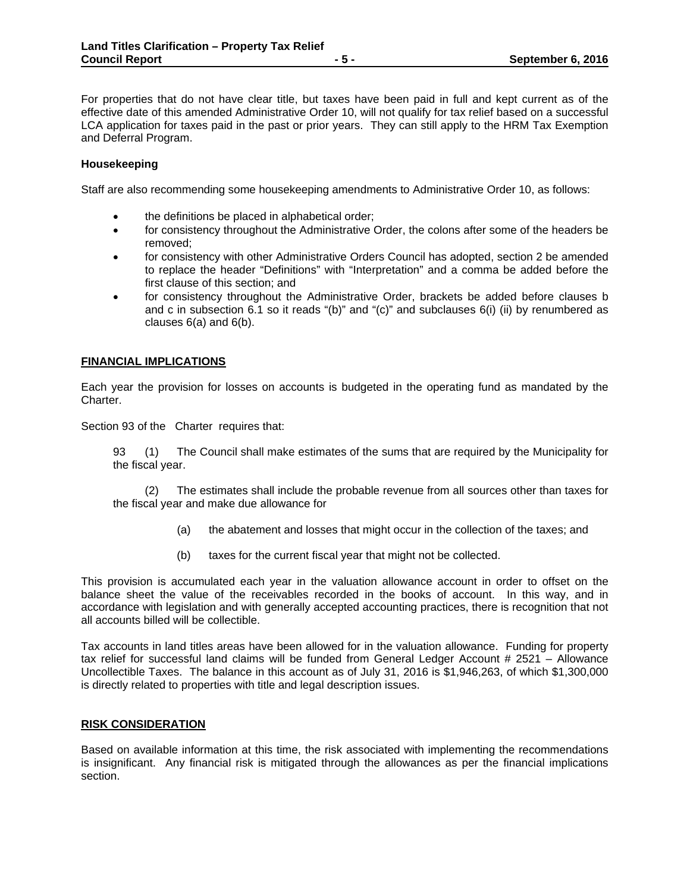For properties that do not have clear title, but taxes have been paid in full and kept current as of the effective date of this amended Administrative Order 10, will not qualify for tax relief based on a successful LCA application for taxes paid in the past or prior years. They can still apply to the HRM Tax Exemption and Deferral Program.

## **Housekeeping**

Staff are also recommending some housekeeping amendments to Administrative Order 10, as follows:

- the definitions be placed in alphabetical order;
- for consistency throughout the Administrative Order, the colons after some of the headers be removed;
- for consistency with other Administrative Orders Council has adopted, section 2 be amended to replace the header "Definitions" with "Interpretation" and a comma be added before the first clause of this section; and
- for consistency throughout the Administrative Order, brackets be added before clauses b and c in subsection 6.1 so it reads "(b)" and "(c)" and subclauses  $6(i)$  (ii) by renumbered as clauses 6(a) and 6(b).

## **FINANCIAL IMPLICATIONS**

Each year the provision for losses on accounts is budgeted in the operating fund as mandated by the Charter.

Section 93 of the Charter requires that:

93 (1) The Council shall make estimates of the sums that are required by the Municipality for the fiscal year.

(2) The estimates shall include the probable revenue from all sources other than taxes for the fiscal year and make due allowance for

- (a) the abatement and losses that might occur in the collection of the taxes; and
- (b) taxes for the current fiscal year that might not be collected.

This provision is accumulated each year in the valuation allowance account in order to offset on the balance sheet the value of the receivables recorded in the books of account. In this way, and in accordance with legislation and with generally accepted accounting practices, there is recognition that not all accounts billed will be collectible.

Tax accounts in land titles areas have been allowed for in the valuation allowance. Funding for property tax relief for successful land claims will be funded from General Ledger Account # 2521 – Allowance Uncollectible Taxes. The balance in this account as of July 31, 2016 is \$1,946,263, of which \$1,300,000 is directly related to properties with title and legal description issues.

#### **RISK CONSIDERATION**

Based on available information at this time, the risk associated with implementing the recommendations is insignificant. Any financial risk is mitigated through the allowances as per the financial implications section.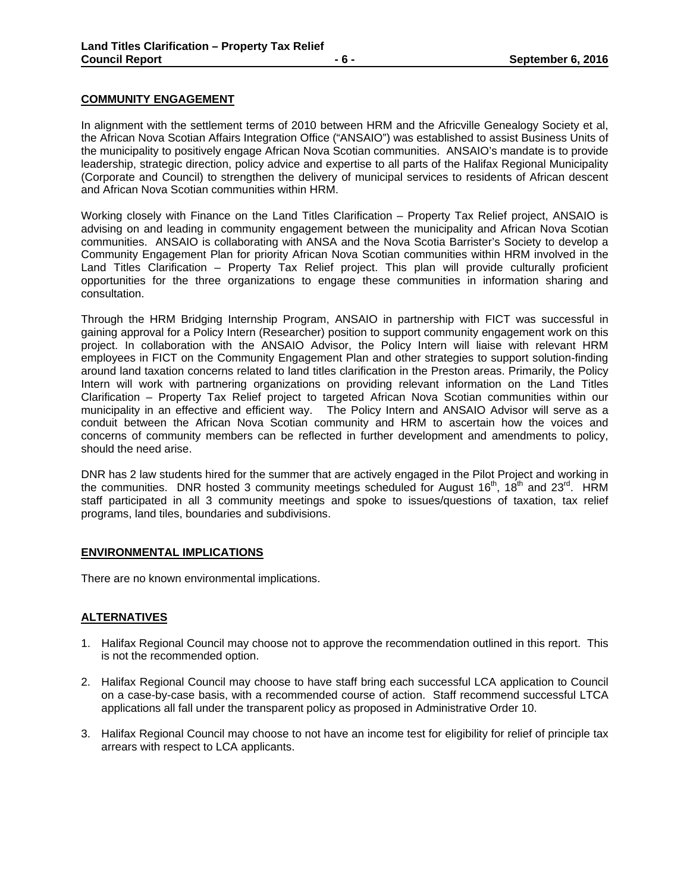## **COMMUNITY ENGAGEMENT**

In alignment with the settlement terms of 2010 between HRM and the Africville Genealogy Society et al, the African Nova Scotian Affairs Integration Office ("ANSAIO") was established to assist Business Units of the municipality to positively engage African Nova Scotian communities. ANSAIO's mandate is to provide leadership, strategic direction, policy advice and expertise to all parts of the Halifax Regional Municipality (Corporate and Council) to strengthen the delivery of municipal services to residents of African descent and African Nova Scotian communities within HRM.

Working closely with Finance on the Land Titles Clarification – Property Tax Relief project, ANSAIO is advising on and leading in community engagement between the municipality and African Nova Scotian communities. ANSAIO is collaborating with ANSA and the Nova Scotia Barrister's Society to develop a Community Engagement Plan for priority African Nova Scotian communities within HRM involved in the Land Titles Clarification – Property Tax Relief project. This plan will provide culturally proficient opportunities for the three organizations to engage these communities in information sharing and consultation.

Through the HRM Bridging Internship Program, ANSAIO in partnership with FICT was successful in gaining approval for a Policy Intern (Researcher) position to support community engagement work on this project. In collaboration with the ANSAIO Advisor, the Policy Intern will liaise with relevant HRM employees in FICT on the Community Engagement Plan and other strategies to support solution-finding around land taxation concerns related to land titles clarification in the Preston areas. Primarily, the Policy Intern will work with partnering organizations on providing relevant information on the Land Titles Clarification – Property Tax Relief project to targeted African Nova Scotian communities within our municipality in an effective and efficient way. The Policy Intern and ANSAIO Advisor will serve as a conduit between the African Nova Scotian community and HRM to ascertain how the voices and concerns of community members can be reflected in further development and amendments to policy, should the need arise.

DNR has 2 law students hired for the summer that are actively engaged in the Pilot Project and working in the communities. DNR hosted 3 community meetings scheduled for August 16<sup>th</sup>, 18<sup>th</sup> and 23<sup>rd</sup>. HRM staff participated in all 3 community meetings and spoke to issues/questions of taxation, tax relief programs, land tiles, boundaries and subdivisions.

#### **ENVIRONMENTAL IMPLICATIONS**

There are no known environmental implications.

#### **ALTERNATIVES**

- 1. Halifax Regional Council may choose not to approve the recommendation outlined in this report. This is not the recommended option.
- 2. Halifax Regional Council may choose to have staff bring each successful LCA application to Council on a case-by-case basis, with a recommended course of action. Staff recommend successful LTCA applications all fall under the transparent policy as proposed in Administrative Order 10.
- 3. Halifax Regional Council may choose to not have an income test for eligibility for relief of principle tax arrears with respect to LCA applicants.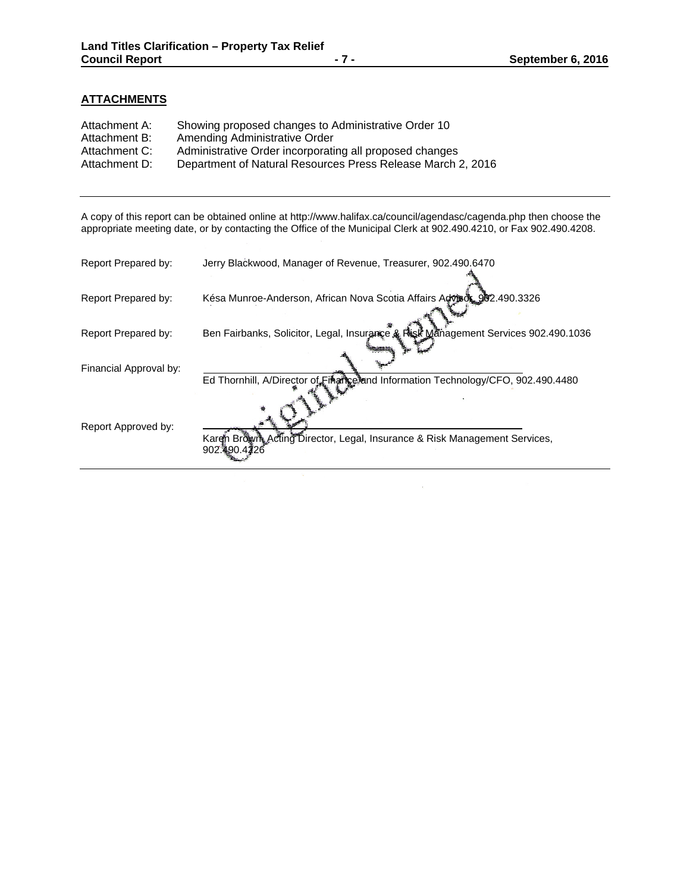## **ATTACHMENTS**

| Attachment A: | Showing proposed changes to Administrative Order 10         |
|---------------|-------------------------------------------------------------|
| Attachment B: | Amending Administrative Order                               |
| Attachment C: | Administrative Order incorporating all proposed changes     |
| Attachment D: | Department of Natural Resources Press Release March 2, 2016 |

A copy of this report can be obtained online at http://www.halifax.ca/council/agendasc/cagenda.php then choose the appropriate meeting date, or by contacting the Office of the Municipal Clerk at 902.490.4210, or Fax 902.490.4208.

| Report Prepared by:    | Jerry Blackwood, Manager of Revenue, Treasurer, 902.490.6470                              |
|------------------------|-------------------------------------------------------------------------------------------|
| Report Prepared by:    | Késa Munroe-Anderson, African Nova Scotia Affairs Advisor 902.490.3326                    |
| Report Prepared by:    | Ben Fairbanks, Solicitor, Legal, Insurance & Risk Management Services 902.490.1036        |
| Financial Approval by: | Ed Thornhill, A/Director of Einangeliand Information Technology/CFO, 902.490.4480         |
| Report Approved by:    | Karen Brown Acting Director, Legal, Insurance & Risk Management Services,<br>902.490.4226 |

 $\bar{z}$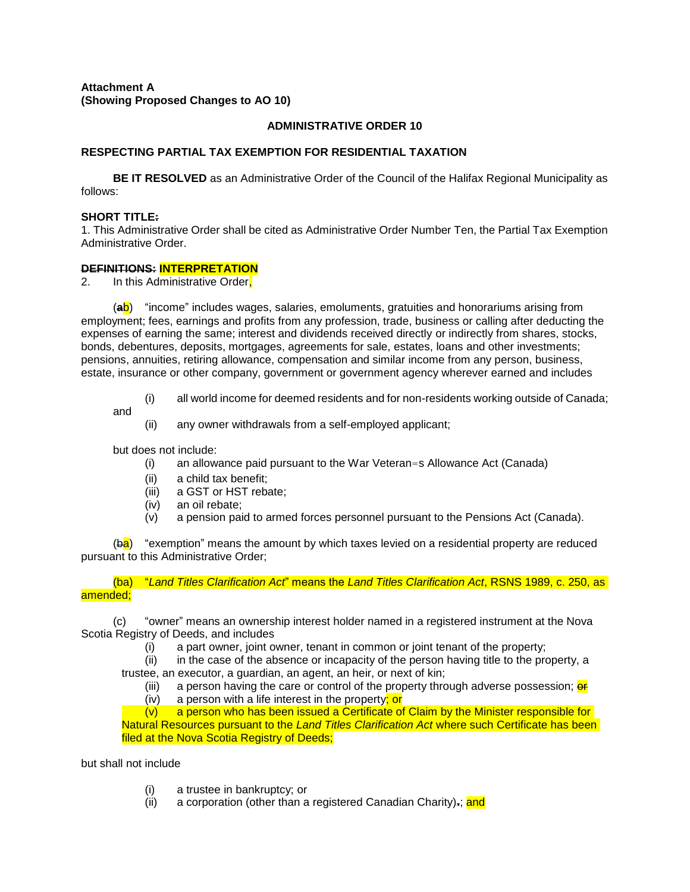## **ADMINISTRATIVE ORDER 10**

## **RESPECTING PARTIAL TAX EXEMPTION FOR RESIDENTIAL TAXATION**

**BE IT RESOLVED** as an Administrative Order of the Council of the Halifax Regional Municipality as follows:

#### **SHORT TITLE:**

1. This Administrative Order shall be cited as Administrative Order Number Ten, the Partial Tax Exemption Administrative Order.

#### **DEFINITIONS: INTERPRETATION**

2. In this Administrative Order,

(**a**b) "income" includes wages, salaries, emoluments, gratuities and honorariums arising from employment; fees, earnings and profits from any profession, trade, business or calling after deducting the expenses of earning the same; interest and dividends received directly or indirectly from shares, stocks, bonds, debentures, deposits, mortgages, agreements for sale, estates, loans and other investments; pensions, annuities, retiring allowance, compensation and similar income from any person, business, estate, insurance or other company, government or government agency wherever earned and includes

(i) all world income for deemed residents and for non-residents working outside of Canada;

and

(ii) any owner withdrawals from a self-employed applicant;

but does not include:

- (i) an allowance paid pursuant to the War Veteran=s Allowance Act (Canada)
- (ii) a child tax benefit;
- (iii) a GST or HST rebate;
- (iv) an oil rebate;
- (v) a pension paid to armed forces personnel pursuant to the Pensions Act (Canada).

 $(ba)$  "exemption" means the amount by which taxes levied on a residential property are reduced pursuant to this Administrative Order;

(ba) "*Land Titles Clarification Act*" means the *Land Titles Clarification Act*, RSNS 1989, c. 250, as amended;

(c) "owner" means an ownership interest holder named in a registered instrument at the Nova Scotia Registry of Deeds, and includes

(i) a part owner, joint owner, tenant in common or joint tenant of the property;

(ii) in the case of the absence or incapacity of the person having title to the property, a trustee, an executor, a guardian, an agent, an heir, or next of kin;

- (iii) a person having the care or control of the property through adverse possession;  $\frac{\partial F}{\partial x}$
- (iv) a person with a life interest in the property; or

(v) a person who has been issued a Certificate of Claim by the Minister responsible for Natural Resources pursuant to the *Land Titles Clarification Act* where such Certificate has been filed at the Nova Scotia Registry of Deeds;

but shall not include

- (i) a trustee in bankruptcy; or
- (ii) a corporation (other than a registered Canadian Charity)**.**; and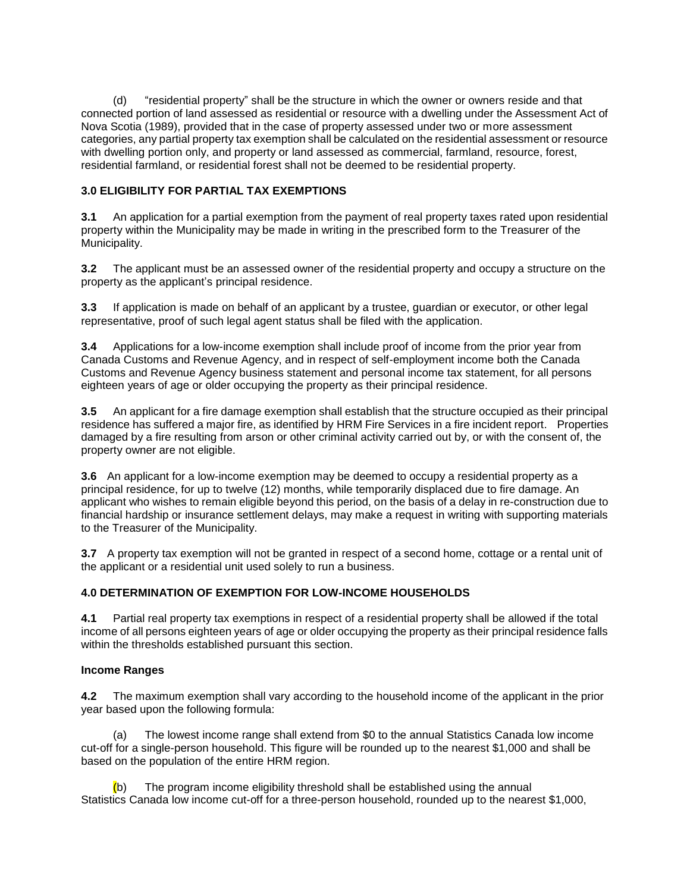(d) "residential property" shall be the structure in which the owner or owners reside and that connected portion of land assessed as residential or resource with a dwelling under the Assessment Act of Nova Scotia (1989), provided that in the case of property assessed under two or more assessment categories, any partial property tax exemption shall be calculated on the residential assessment or resource with dwelling portion only, and property or land assessed as commercial, farmland, resource, forest, residential farmland, or residential forest shall not be deemed to be residential property.

## **3.0 ELIGIBILITY FOR PARTIAL TAX EXEMPTIONS**

**3.1** An application for a partial exemption from the payment of real property taxes rated upon residential property within the Municipality may be made in writing in the prescribed form to the Treasurer of the Municipality.

**3.2** The applicant must be an assessed owner of the residential property and occupy a structure on the property as the applicant's principal residence.

**3.3** If application is made on behalf of an applicant by a trustee, guardian or executor, or other legal representative, proof of such legal agent status shall be filed with the application.

**3.4** Applications for a low-income exemption shall include proof of income from the prior year from Canada Customs and Revenue Agency, and in respect of self-employment income both the Canada Customs and Revenue Agency business statement and personal income tax statement, for all persons eighteen years of age or older occupying the property as their principal residence.

**3.5** An applicant for a fire damage exemption shall establish that the structure occupied as their principal residence has suffered a major fire, as identified by HRM Fire Services in a fire incident report. Properties damaged by a fire resulting from arson or other criminal activity carried out by, or with the consent of, the property owner are not eligible.

**3.6** An applicant for a low-income exemption may be deemed to occupy a residential property as a principal residence, for up to twelve (12) months, while temporarily displaced due to fire damage. An applicant who wishes to remain eligible beyond this period, on the basis of a delay in re-construction due to financial hardship or insurance settlement delays, may make a request in writing with supporting materials to the Treasurer of the Municipality.

**3.7** A property tax exemption will not be granted in respect of a second home, cottage or a rental unit of the applicant or a residential unit used solely to run a business.

## **4.0 DETERMINATION OF EXEMPTION FOR LOW-INCOME HOUSEHOLDS**

**4.1** Partial real property tax exemptions in respect of a residential property shall be allowed if the total income of all persons eighteen years of age or older occupying the property as their principal residence falls within the thresholds established pursuant this section.

## **Income Ranges**

**4.2** The maximum exemption shall vary according to the household income of the applicant in the prior year based upon the following formula:

(a) The lowest income range shall extend from \$0 to the annual Statistics Canada low income cut-off for a single-person household. This figure will be rounded up to the nearest \$1,000 and shall be based on the population of the entire HRM region.

 $(b)$  The program income eligibility threshold shall be established using the annual Statistics Canada low income cut-off for a three-person household, rounded up to the nearest \$1,000,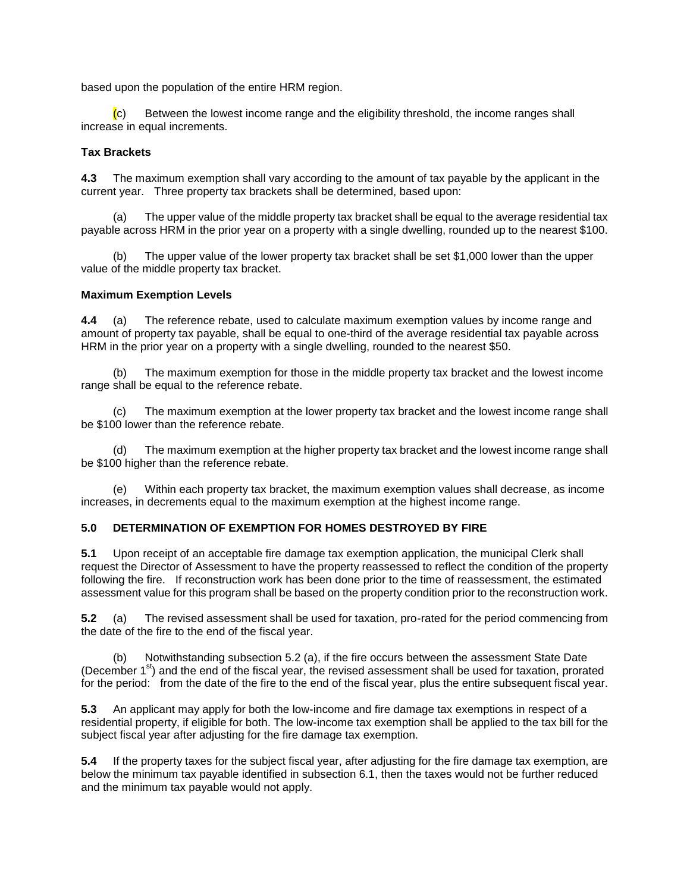based upon the population of the entire HRM region.

 $\langle c \rangle$  Between the lowest income range and the eligibility threshold, the income ranges shall increase in equal increments.

## **Tax Brackets**

**4.3** The maximum exemption shall vary according to the amount of tax payable by the applicant in the current year. Three property tax brackets shall be determined, based upon:

(a) The upper value of the middle property tax bracket shall be equal to the average residential tax payable across HRM in the prior year on a property with a single dwelling, rounded up to the nearest \$100.

(b) The upper value of the lower property tax bracket shall be set \$1,000 lower than the upper value of the middle property tax bracket.

#### **Maximum Exemption Levels**

**4.4** (a) The reference rebate, used to calculate maximum exemption values by income range and amount of property tax payable, shall be equal to one-third of the average residential tax payable across HRM in the prior year on a property with a single dwelling, rounded to the nearest \$50.

(b) The maximum exemption for those in the middle property tax bracket and the lowest income range shall be equal to the reference rebate.

(c) The maximum exemption at the lower property tax bracket and the lowest income range shall be \$100 lower than the reference rebate.

(d) The maximum exemption at the higher property tax bracket and the lowest income range shall be \$100 higher than the reference rebate.

(e) Within each property tax bracket, the maximum exemption values shall decrease, as income increases, in decrements equal to the maximum exemption at the highest income range.

#### **5.0 DETERMINATION OF EXEMPTION FOR HOMES DESTROYED BY FIRE**

**5.1** Upon receipt of an acceptable fire damage tax exemption application, the municipal Clerk shall request the Director of Assessment to have the property reassessed to reflect the condition of the property following the fire. If reconstruction work has been done prior to the time of reassessment, the estimated assessment value for this program shall be based on the property condition prior to the reconstruction work.

**5.2** (a) The revised assessment shall be used for taxation, pro-rated for the period commencing from the date of the fire to the end of the fiscal year.

(b) Notwithstanding subsection 5.2 (a), if the fire occurs between the assessment State Date (December  $1^{st}$ ) and the end of the fiscal year, the revised assessment shall be used for taxation, prorated for the period: from the date of the fire to the end of the fiscal year, plus the entire subsequent fiscal year.

**5.3** An applicant may apply for both the low-income and fire damage tax exemptions in respect of a residential property, if eligible for both. The low-income tax exemption shall be applied to the tax bill for the subject fiscal year after adjusting for the fire damage tax exemption.

**5.4** If the property taxes for the subject fiscal year, after adjusting for the fire damage tax exemption, are below the minimum tax payable identified in subsection 6.1, then the taxes would not be further reduced and the minimum tax payable would not apply.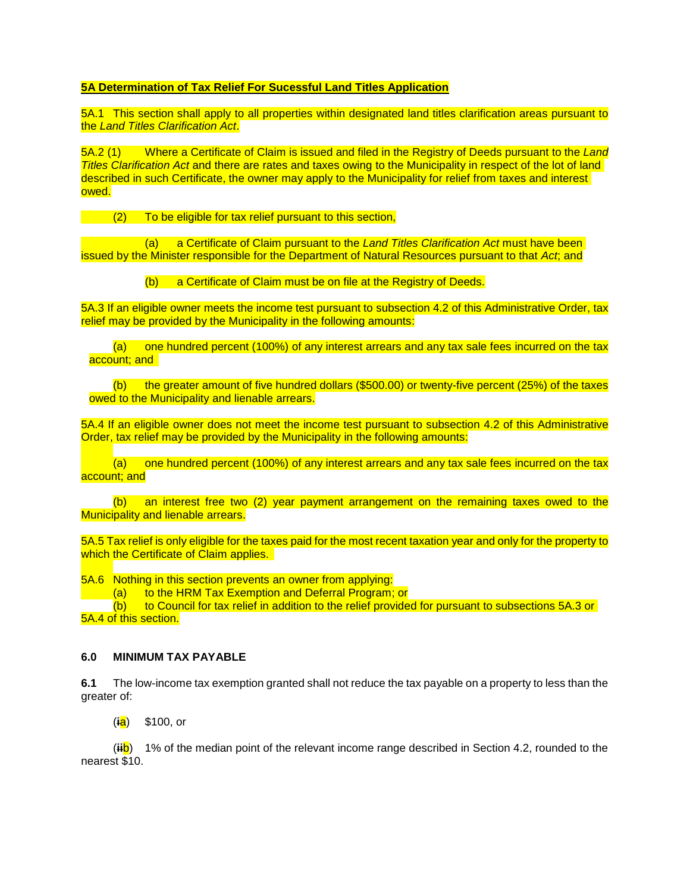### **5A Determination of Tax Relief For Sucessful Land Titles Application**

5A.1 This section shall apply to all properties within designated land titles clarification areas pursuant to the *Land Titles Clarification Act*.

5A.2 (1) Where a Certificate of Claim is issued and filed in the Registry of Deeds pursuant to the *Land Titles Clarification Act* and there are rates and taxes owing to the Municipality in respect of the lot of land described in such Certificate, the owner may apply to the Municipality for relief from taxes and interest owed.

(2) To be eligible for tax relief pursuant to this section,

(a) a Certificate of Claim pursuant to the *Land Titles Clarification Act* must have been issued by the Minister responsible for the Department of Natural Resources pursuant to that *Act*; and

(b) a Certificate of Claim must be on file at the Registry of Deeds.

5A.3 If an eligible owner meets the income test pursuant to subsection 4.2 of this Administrative Order, tax relief may be provided by the Municipality in the following amounts:

(a) one hundred percent (100%) of any interest arrears and any tax sale fees incurred on the tax account; and

(b) the greater amount of five hundred dollars (\$500.00) or twenty-five percent (25%) of the taxes owed to the Municipality and lienable arrears.

5A.4 If an eligible owner does not meet the income test pursuant to subsection 4.2 of this Administrative Order, tax relief may be provided by the Municipality in the following amounts:

(a) one hundred percent (100%) of any interest arrears and any tax sale fees incurred on the tax account; and

(b) an interest free two (2) year payment arrangement on the remaining taxes owed to the Municipality and lienable arrears.

5A.5 Tax relief is only eligible for the taxes paid for the most recent taxation year and only for the property to which the Certificate of Claim applies.

5A.6 Nothing in this section prevents an owner from applying:

(a) to the HRM Tax Exemption and Deferral Program; or<br>(b) to Council for tax relief in addition to the relief provide

to Council for tax relief in addition to the relief provided for pursuant to subsections 5A.3 or 5A.4 of this section.

#### **6.0 MINIMUM TAX PAYABLE**

**6.1** The low-income tax exemption granted shall not reduce the tax payable on a property to less than the greater of:

(**i**a) \$100, or

(**ii**b) 1% of the median point of the relevant income range described in Section 4.2, rounded to the nearest \$10.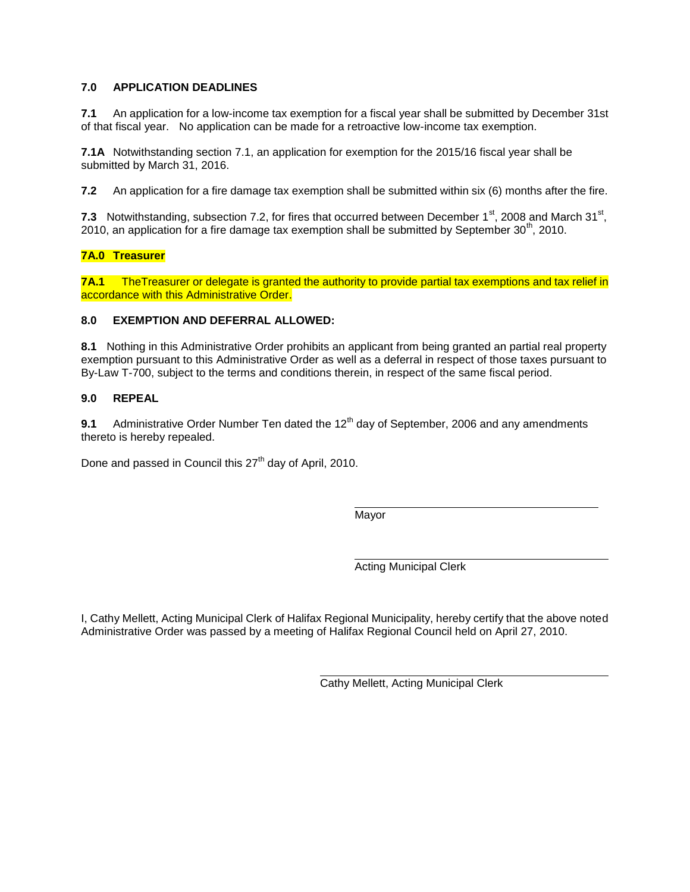## **7.0 APPLICATION DEADLINES**

**7.1** An application for a low-income tax exemption for a fiscal year shall be submitted by December 31st of that fiscal year. No application can be made for a retroactive low-income tax exemption.

**7.1A** Notwithstanding section 7.1, an application for exemption for the 2015/16 fiscal year shall be submitted by March 31, 2016.

**7.2** An application for a fire damage tax exemption shall be submitted within six (6) months after the fire.

7.3 Notwithstanding, subsection 7.2, for fires that occurred between December  $1<sup>st</sup>$ , 2008 and March 31 $<sup>st</sup>$ ,</sup> 2010, an application for a fire damage tax exemption shall be submitted by September  $30<sup>th</sup>$ , 2010.

## **7A.0 Treasurer**

**7A.1** The Treasurer or delegate is granted the authority to provide partial tax exemptions and tax relief in accordance with this Administrative Order.

#### **8.0 EXEMPTION AND DEFERRAL ALLOWED:**

**8.1** Nothing in this Administrative Order prohibits an applicant from being granted an partial real property exemption pursuant to this Administrative Order as well as a deferral in respect of those taxes pursuant to By-Law T-700, subject to the terms and conditions therein, in respect of the same fiscal period.

## **9.0 REPEAL**

**9.1** Administrative Order Number Ten dated the 12<sup>th</sup> day of September, 2006 and any amendments thereto is hereby repealed.

Done and passed in Council this 27<sup>th</sup> day of April, 2010.

Mayor

Acting Municipal Clerk

I, Cathy Mellett, Acting Municipal Clerk of Halifax Regional Municipality, hereby certify that the above noted Administrative Order was passed by a meeting of Halifax Regional Council held on April 27, 2010.

Cathy Mellett, Acting Municipal Clerk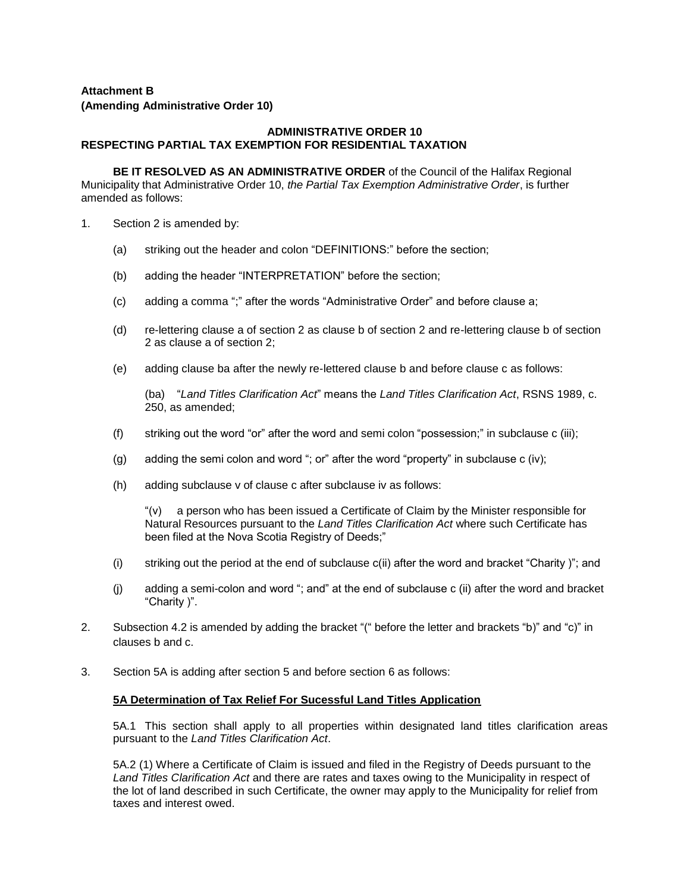## **Attachment B**

#### **(Amending Administrative Order 10)**

### **ADMINISTRATIVE ORDER 10 RESPECTING PARTIAL TAX EXEMPTION FOR RESIDENTIAL TAXATION**

**BE IT RESOLVED AS AN ADMINISTRATIVE ORDER** of the Council of the Halifax Regional Municipality that Administrative Order 10, *the Partial Tax Exemption Administrative Order*, is further amended as follows:

- 1. Section 2 is amended by:
	- (a) striking out the header and colon "DEFINITIONS:" before the section;
	- (b) adding the header "INTERPRETATION" before the section;
	- (c) adding a comma ";" after the words "Administrative Order" and before clause a;
	- (d) re-lettering clause a of section 2 as clause b of section 2 and re-lettering clause b of section 2 as clause a of section 2;
	- (e) adding clause ba after the newly re-lettered clause b and before clause c as follows:

(ba) "*Land Titles Clarification Act*" means the *Land Titles Clarification Act*, RSNS 1989, c. 250, as amended;

- (f) striking out the word "or" after the word and semi colon "possession;" in subclause c (iii);
- (g) adding the semi colon and word "; or" after the word "property" in subclause c (iv);
- (h) adding subclause v of clause c after subclause iv as follows:

"(v) a person who has been issued a Certificate of Claim by the Minister responsible for Natural Resources pursuant to the *Land Titles Clarification Act* where such Certificate has been filed at the Nova Scotia Registry of Deeds;"

- (i) striking out the period at the end of subclause c(ii) after the word and bracket "Charity )"; and
- (j) adding a semi-colon and word "; and" at the end of subclause c (ii) after the word and bracket "Charity )".
- 2. Subsection 4.2 is amended by adding the bracket "(" before the letter and brackets "b)" and "c)" in clauses b and c.
- 3. Section 5A is adding after section 5 and before section 6 as follows:

## **5A Determination of Tax Relief For Sucessful Land Titles Application**

5A.1 This section shall apply to all properties within designated land titles clarification areas pursuant to the *Land Titles Clarification Act*.

5A.2 (1) Where a Certificate of Claim is issued and filed in the Registry of Deeds pursuant to the *Land Titles Clarification Act* and there are rates and taxes owing to the Municipality in respect of the lot of land described in such Certificate, the owner may apply to the Municipality for relief from taxes and interest owed.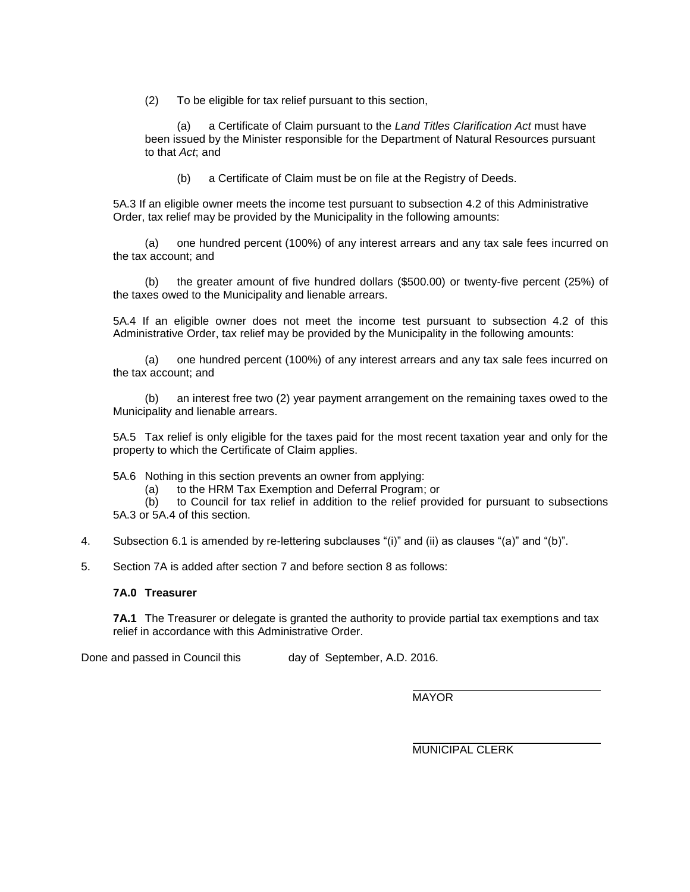(2) To be eligible for tax relief pursuant to this section,

(a) a Certificate of Claim pursuant to the *Land Titles Clarification Act* must have been issued by the Minister responsible for the Department of Natural Resources pursuant to that *Act*; and

(b) a Certificate of Claim must be on file at the Registry of Deeds.

5A.3 If an eligible owner meets the income test pursuant to subsection 4.2 of this Administrative Order, tax relief may be provided by the Municipality in the following amounts:

(a) one hundred percent (100%) of any interest arrears and any tax sale fees incurred on the tax account; and

(b) the greater amount of five hundred dollars (\$500.00) or twenty-five percent (25%) of the taxes owed to the Municipality and lienable arrears.

5A.4 If an eligible owner does not meet the income test pursuant to subsection 4.2 of this Administrative Order, tax relief may be provided by the Municipality in the following amounts:

(a) one hundred percent (100%) of any interest arrears and any tax sale fees incurred on the tax account; and

(b) an interest free two (2) year payment arrangement on the remaining taxes owed to the Municipality and lienable arrears.

5A.5 Tax relief is only eligible for the taxes paid for the most recent taxation year and only for the property to which the Certificate of Claim applies.

5A.6 Nothing in this section prevents an owner from applying:

(a) to the HRM Tax Exemption and Deferral Program; or

(b) to Council for tax relief in addition to the relief provided for pursuant to subsections 5A.3 or 5A.4 of this section.

- 4. Subsection 6.1 is amended by re-lettering subclauses "(i)" and (ii) as clauses "(a)" and "(b)".
- 5. Section 7A is added after section 7 and before section 8 as follows:

#### **7A.0 Treasurer**

**7A.1** The Treasurer or delegate is granted the authority to provide partial tax exemptions and tax relief in accordance with this Administrative Order.

Done and passed in Council this day of September, A.D. 2016.

**MAYOR** 

MUNICIPAL CLERK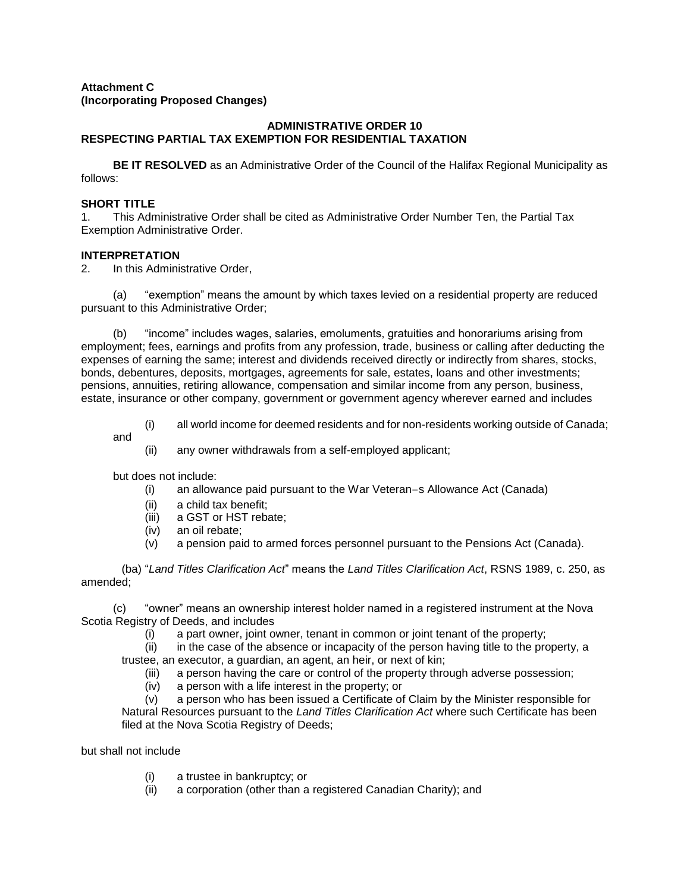## **Attachment C (Incorporating Proposed Changes)**

## **ADMINISTRATIVE ORDER 10 RESPECTING PARTIAL TAX EXEMPTION FOR RESIDENTIAL TAXATION**

**BE IT RESOLVED** as an Administrative Order of the Council of the Halifax Regional Municipality as follows:

## **SHORT TITLE**

1. This Administrative Order shall be cited as Administrative Order Number Ten, the Partial Tax Exemption Administrative Order.

## **INTERPRETATION**

2. In this Administrative Order,

(a) "exemption" means the amount by which taxes levied on a residential property are reduced pursuant to this Administrative Order;

(b) "income" includes wages, salaries, emoluments, gratuities and honorariums arising from employment; fees, earnings and profits from any profession, trade, business or calling after deducting the expenses of earning the same; interest and dividends received directly or indirectly from shares, stocks, bonds, debentures, deposits, mortgages, agreements for sale, estates, loans and other investments; pensions, annuities, retiring allowance, compensation and similar income from any person, business, estate, insurance or other company, government or government agency wherever earned and includes

(i) all world income for deemed residents and for non-residents working outside of Canada;

and

(ii) any owner withdrawals from a self-employed applicant;

but does not include:

- (i) an allowance paid pursuant to the War Veteran=s Allowance Act (Canada)
- (ii) a child tax benefit;
- (iii) a GST or HST rebate;
- (iv) an oil rebate;
- (v) a pension paid to armed forces personnel pursuant to the Pensions Act (Canada).

(ba) "*Land Titles Clarification Act*" means the *Land Titles Clarification Act*, RSNS 1989, c. 250, as amended;

(c) "owner" means an ownership interest holder named in a registered instrument at the Nova Scotia Registry of Deeds, and includes

(i) a part owner, joint owner, tenant in common or joint tenant of the property;

(ii) in the case of the absence or incapacity of the person having title to the property, a trustee, an executor, a guardian, an agent, an heir, or next of kin;

- (iii) a person having the care or control of the property through adverse possession;
- (iv) a person with a life interest in the property; or

(v) a person who has been issued a Certificate of Claim by the Minister responsible for Natural Resources pursuant to the *Land Titles Clarification Act* where such Certificate has been filed at the Nova Scotia Registry of Deeds;

but shall not include

- (i) a trustee in bankruptcy; or
- (ii) a corporation (other than a registered Canadian Charity); and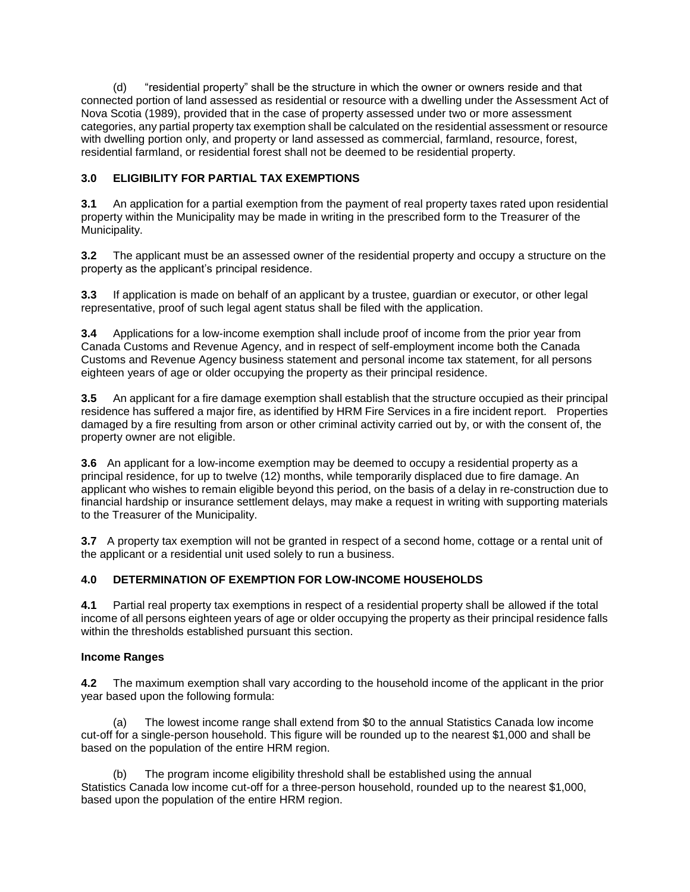(d) "residential property" shall be the structure in which the owner or owners reside and that connected portion of land assessed as residential or resource with a dwelling under the Assessment Act of Nova Scotia (1989), provided that in the case of property assessed under two or more assessment categories, any partial property tax exemption shall be calculated on the residential assessment or resource with dwelling portion only, and property or land assessed as commercial, farmland, resource, forest, residential farmland, or residential forest shall not be deemed to be residential property.

## **3.0 ELIGIBILITY FOR PARTIAL TAX EXEMPTIONS**

**3.1** An application for a partial exemption from the payment of real property taxes rated upon residential property within the Municipality may be made in writing in the prescribed form to the Treasurer of the Municipality.

**3.2** The applicant must be an assessed owner of the residential property and occupy a structure on the property as the applicant's principal residence.

**3.3** If application is made on behalf of an applicant by a trustee, guardian or executor, or other legal representative, proof of such legal agent status shall be filed with the application.

**3.4** Applications for a low-income exemption shall include proof of income from the prior year from Canada Customs and Revenue Agency, and in respect of self-employment income both the Canada Customs and Revenue Agency business statement and personal income tax statement, for all persons eighteen years of age or older occupying the property as their principal residence.

**3.5** An applicant for a fire damage exemption shall establish that the structure occupied as their principal residence has suffered a major fire, as identified by HRM Fire Services in a fire incident report. Properties damaged by a fire resulting from arson or other criminal activity carried out by, or with the consent of, the property owner are not eligible.

**3.6** An applicant for a low-income exemption may be deemed to occupy a residential property as a principal residence, for up to twelve (12) months, while temporarily displaced due to fire damage. An applicant who wishes to remain eligible beyond this period, on the basis of a delay in re-construction due to financial hardship or insurance settlement delays, may make a request in writing with supporting materials to the Treasurer of the Municipality.

**3.7** A property tax exemption will not be granted in respect of a second home, cottage or a rental unit of the applicant or a residential unit used solely to run a business.

## **4.0 DETERMINATION OF EXEMPTION FOR LOW-INCOME HOUSEHOLDS**

**4.1** Partial real property tax exemptions in respect of a residential property shall be allowed if the total income of all persons eighteen years of age or older occupying the property as their principal residence falls within the thresholds established pursuant this section.

## **Income Ranges**

**4.2** The maximum exemption shall vary according to the household income of the applicant in the prior year based upon the following formula:

(a) The lowest income range shall extend from \$0 to the annual Statistics Canada low income cut-off for a single-person household. This figure will be rounded up to the nearest \$1,000 and shall be based on the population of the entire HRM region.

(b) The program income eligibility threshold shall be established using the annual Statistics Canada low income cut-off for a three-person household, rounded up to the nearest \$1,000, based upon the population of the entire HRM region.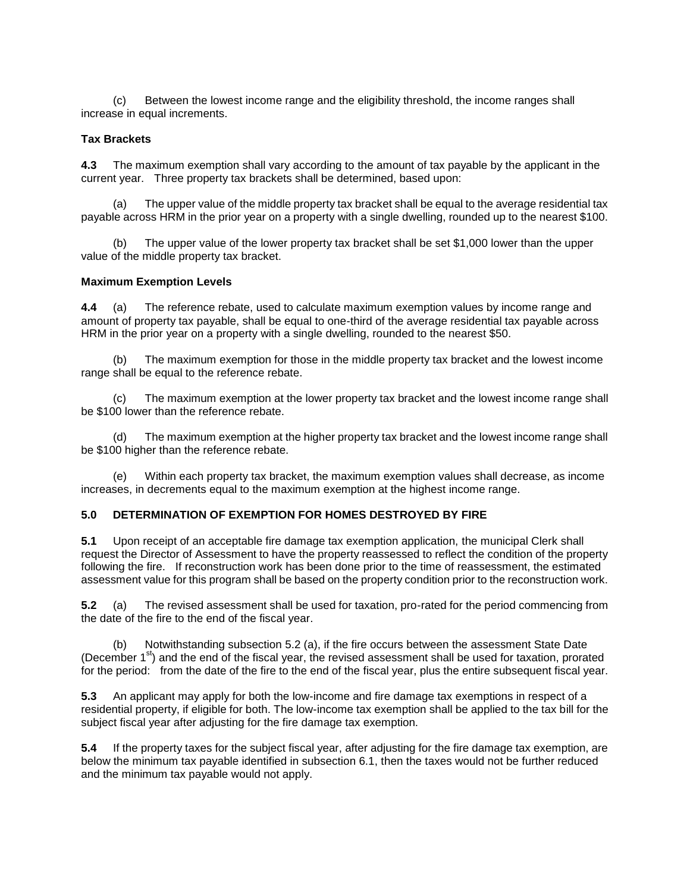(c) Between the lowest income range and the eligibility threshold, the income ranges shall increase in equal increments.

## **Tax Brackets**

**4.3** The maximum exemption shall vary according to the amount of tax payable by the applicant in the current year. Three property tax brackets shall be determined, based upon:

(a) The upper value of the middle property tax bracket shall be equal to the average residential tax payable across HRM in the prior year on a property with a single dwelling, rounded up to the nearest \$100.

(b) The upper value of the lower property tax bracket shall be set \$1,000 lower than the upper value of the middle property tax bracket.

#### **Maximum Exemption Levels**

**4.4** (a) The reference rebate, used to calculate maximum exemption values by income range and amount of property tax payable, shall be equal to one-third of the average residential tax payable across HRM in the prior year on a property with a single dwelling, rounded to the nearest \$50.

(b) The maximum exemption for those in the middle property tax bracket and the lowest income range shall be equal to the reference rebate.

(c) The maximum exemption at the lower property tax bracket and the lowest income range shall be \$100 lower than the reference rebate.

(d) The maximum exemption at the higher property tax bracket and the lowest income range shall be \$100 higher than the reference rebate.

(e) Within each property tax bracket, the maximum exemption values shall decrease, as income increases, in decrements equal to the maximum exemption at the highest income range.

#### **5.0 DETERMINATION OF EXEMPTION FOR HOMES DESTROYED BY FIRE**

**5.1** Upon receipt of an acceptable fire damage tax exemption application, the municipal Clerk shall request the Director of Assessment to have the property reassessed to reflect the condition of the property following the fire. If reconstruction work has been done prior to the time of reassessment, the estimated assessment value for this program shall be based on the property condition prior to the reconstruction work.

**5.2** (a) The revised assessment shall be used for taxation, pro-rated for the period commencing from the date of the fire to the end of the fiscal year.

(b) Notwithstanding subsection 5.2 (a), if the fire occurs between the assessment State Date (December  $1<sup>st</sup>$ ) and the end of the fiscal year, the revised assessment shall be used for taxation, prorated for the period: from the date of the fire to the end of the fiscal year, plus the entire subsequent fiscal year.

**5.3** An applicant may apply for both the low-income and fire damage tax exemptions in respect of a residential property, if eligible for both. The low-income tax exemption shall be applied to the tax bill for the subject fiscal year after adjusting for the fire damage tax exemption.

**5.4** If the property taxes for the subject fiscal year, after adjusting for the fire damage tax exemption, are below the minimum tax payable identified in subsection 6.1, then the taxes would not be further reduced and the minimum tax payable would not apply.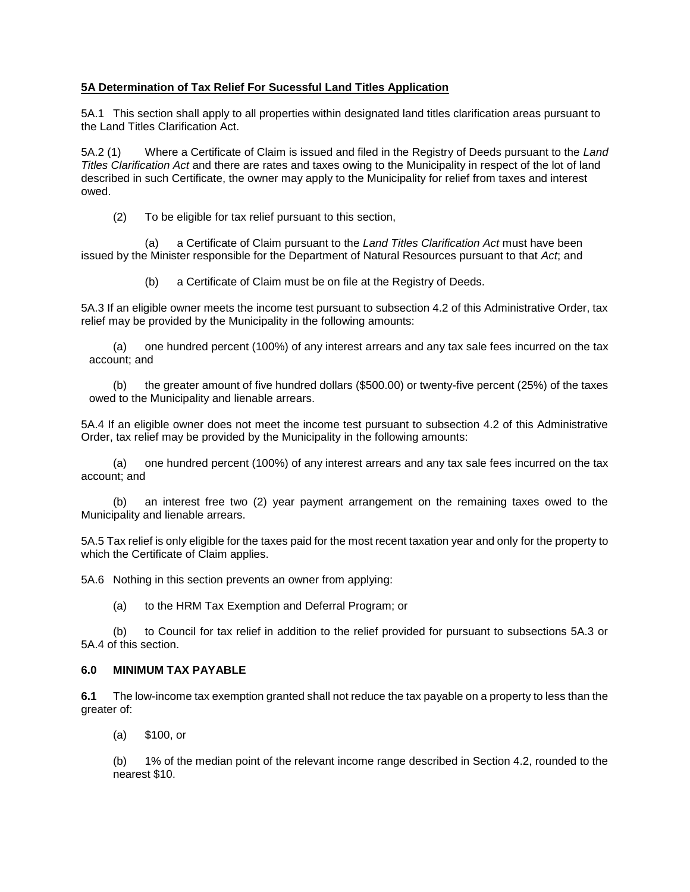## **5A Determination of Tax Relief For Sucessful Land Titles Application**

5A.1 This section shall apply to all properties within designated land titles clarification areas pursuant to the Land Titles Clarification Act.

5A.2 (1) Where a Certificate of Claim is issued and filed in the Registry of Deeds pursuant to the *Land Titles Clarification Act* and there are rates and taxes owing to the Municipality in respect of the lot of land described in such Certificate, the owner may apply to the Municipality for relief from taxes and interest owed.

(2) To be eligible for tax relief pursuant to this section,

(a) a Certificate of Claim pursuant to the *Land Titles Clarification Act* must have been issued by the Minister responsible for the Department of Natural Resources pursuant to that *Act*; and

(b) a Certificate of Claim must be on file at the Registry of Deeds.

5A.3 If an eligible owner meets the income test pursuant to subsection 4.2 of this Administrative Order, tax relief may be provided by the Municipality in the following amounts:

(a) one hundred percent (100%) of any interest arrears and any tax sale fees incurred on the tax account; and

(b) the greater amount of five hundred dollars (\$500.00) or twenty-five percent (25%) of the taxes owed to the Municipality and lienable arrears.

5A.4 If an eligible owner does not meet the income test pursuant to subsection 4.2 of this Administrative Order, tax relief may be provided by the Municipality in the following amounts:

(a) one hundred percent (100%) of any interest arrears and any tax sale fees incurred on the tax account; and

(b) an interest free two (2) year payment arrangement on the remaining taxes owed to the Municipality and lienable arrears.

5A.5 Tax relief is only eligible for the taxes paid for the most recent taxation year and only for the property to which the Certificate of Claim applies.

5A.6 Nothing in this section prevents an owner from applying:

(a) to the HRM Tax Exemption and Deferral Program; or

(b) to Council for tax relief in addition to the relief provided for pursuant to subsections 5A.3 or 5A.4 of this section.

### **6.0 MINIMUM TAX PAYABLE**

**6.1** The low-income tax exemption granted shall not reduce the tax payable on a property to less than the greater of:

(a) \$100, or

(b) 1% of the median point of the relevant income range described in Section 4.2, rounded to the nearest \$10.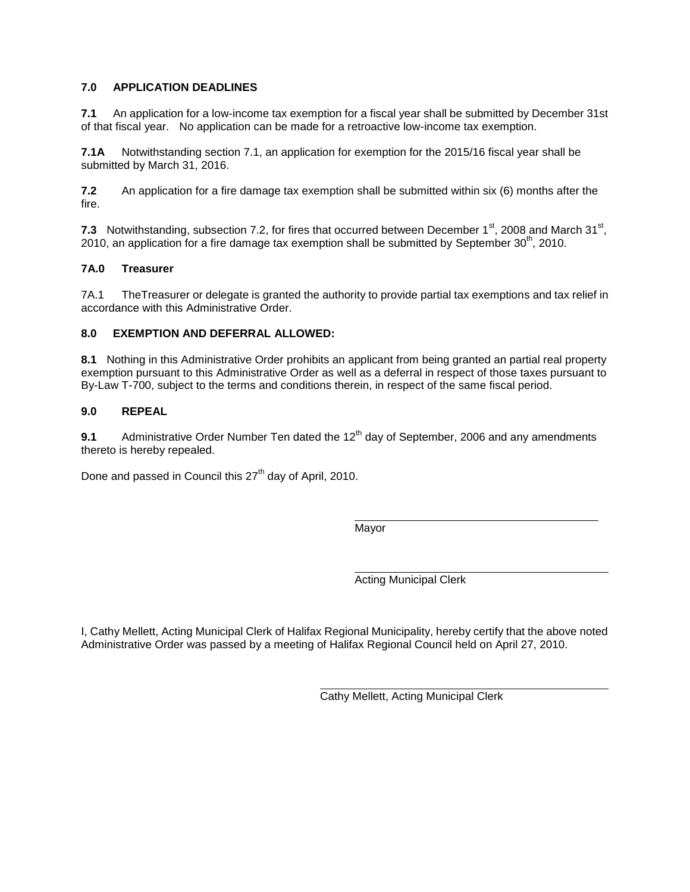## **7.0 APPLICATION DEADLINES**

**7.1** An application for a low-income tax exemption for a fiscal year shall be submitted by December 31st of that fiscal year. No application can be made for a retroactive low-income tax exemption.

**7.1A** Notwithstanding section 7.1, an application for exemption for the 2015/16 fiscal year shall be submitted by March 31, 2016.

**7.2** An application for a fire damage tax exemption shall be submitted within six (6) months after the fire.

7.3 Notwithstanding, subsection 7.2, for fires that occurred between December  $1<sup>st</sup>$ , 2008 and March 31 $<sup>st</sup>$ ,</sup> 2010, an application for a fire damage tax exemption shall be submitted by September  $30<sup>th</sup>$ , 2010.

## **7A.0 Treasurer**

7A.1 TheTreasurer or delegate is granted the authority to provide partial tax exemptions and tax relief in accordance with this Administrative Order.

## **8.0 EXEMPTION AND DEFERRAL ALLOWED:**

**8.1** Nothing in this Administrative Order prohibits an applicant from being granted an partial real property exemption pursuant to this Administrative Order as well as a deferral in respect of those taxes pursuant to By-Law T-700, subject to the terms and conditions therein, in respect of the same fiscal period.

#### **9.0 REPEAL**

**9.1** Administrative Order Number Ten dated the 12<sup>th</sup> day of September, 2006 and any amendments thereto is hereby repealed.

Done and passed in Council this 27<sup>th</sup> day of April, 2010.

Mayor

Acting Municipal Clerk

I, Cathy Mellett, Acting Municipal Clerk of Halifax Regional Municipality, hereby certify that the above noted Administrative Order was passed by a meeting of Halifax Regional Council held on April 27, 2010.

Cathy Mellett, Acting Municipal Clerk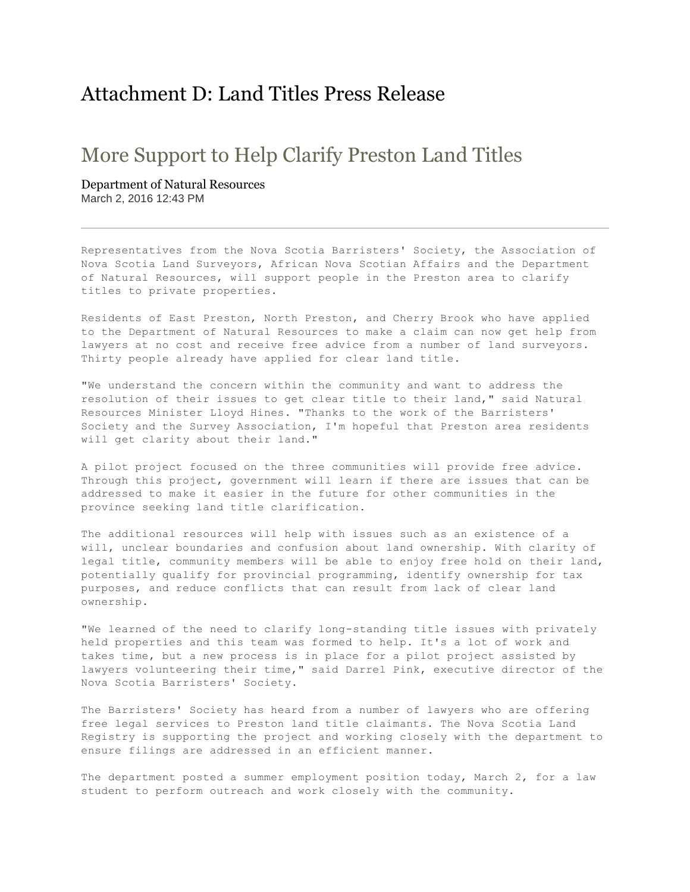# Attachment D: Land Titles Press Release

# More Support to Help Clarify Preston Land Titles

Department of Natural Resources March 2, 2016 12:43 PM

Representatives from the Nova Scotia Barristers' Society, the Association of Nova Scotia Land Surveyors, African Nova Scotian Affairs and the Department of Natural Resources, will support people in the Preston area to clarify titles to private properties.

Residents of East Preston, North Preston, and Cherry Brook who have applied to the Department of Natural Resources to make a claim can now get help from lawyers at no cost and receive free advice from a number of land surveyors. Thirty people already have applied for clear land title.

"We understand the concern within the community and want to address the resolution of their issues to get clear title to their land," said Natural Resources Minister Lloyd Hines. "Thanks to the work of the Barristers' Society and the Survey Association, I'm hopeful that Preston area residents will get clarity about their land."

A pilot project focused on the three communities will provide free advice. Through this project, government will learn if there are issues that can be addressed to make it easier in the future for other communities in the province seeking land title clarification.

The additional resources will help with issues such as an existence of a will, unclear boundaries and confusion about land ownership. With clarity of legal title, community members will be able to enjoy free hold on their land, potentially qualify for provincial programming, identify ownership for tax purposes, and reduce conflicts that can result from lack of clear land ownership.

"We learned of the need to clarify long-standing title issues with privately held properties and this team was formed to help. It's a lot of work and takes time, but a new process is in place for a pilot project assisted by lawyers volunteering their time," said Darrel Pink, executive director of the Nova Scotia Barristers' Society.

The Barristers' Society has heard from a number of lawyers who are offering free legal services to Preston land title claimants. The Nova Scotia Land Registry is supporting the project and working closely with the department to ensure filings are addressed in an efficient manner.

The department posted a summer employment position today, March 2, for a law student to perform outreach and work closely with the community.